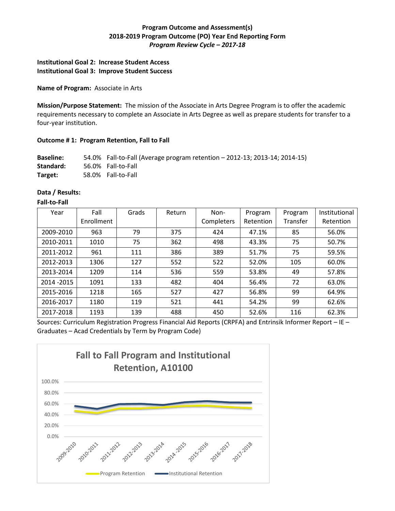# **Program Outcome and Assessment(s) 2018-2019 Program Outcome (PO) Year End Reporting Form** *Program Review Cycle – 2017-18*

# **Institutional Goal 2: Increase Student Access Institutional Goal 3: Improve Student Success**

#### **Name of Program:** Associate in Arts

**Mission/Purpose Statement:** The mission of the Associate in Arts Degree Program is to offer the academic requirements necessary to complete an Associate in Arts Degree as well as prepare students for transfer to a four-year institution.

### **Outcome # 1: Program Retention, Fall to Fall**

**Baseline:** 54.0% Fall-to-Fall (Average program retention – 2012-13; 2013-14; 2014-15) **Standard:** 56.0% Fall-to-Fall **Target:** 58.0% Fall-to-Fall

### **Data / Results:**

#### **Fall-to-Fall**

| Year        | Fall       | Grads | Return | Non-       | Program   | Program  | Institutional |
|-------------|------------|-------|--------|------------|-----------|----------|---------------|
|             | Enrollment |       |        | Completers | Retention | Transfer | Retention     |
| 2009-2010   | 963        | 79    | 375    | 424        | 47.1%     | 85       | 56.0%         |
| 2010-2011   | 1010       | 75    | 362    | 498        | 43.3%     | 75       | 50.7%         |
| 2011-2012   | 961        | 111   | 386    | 389        | 51.7%     | 75       | 59.5%         |
| 2012-2013   | 1306       | 127   | 552    | 522        | 52.0%     | 105      | 60.0%         |
| 2013-2014   | 1209       | 114   | 536    | 559        | 53.8%     | 49       | 57.8%         |
| 2014 - 2015 | 1091       | 133   | 482    | 404        | 56.4%     | 72       | 63.0%         |
| 2015-2016   | 1218       | 165   | 527    | 427        | 56.8%     | 99       | 64.9%         |
| 2016-2017   | 1180       | 119   | 521    | 441        | 54.2%     | 99       | 62.6%         |
| 2017-2018   | 1193       | 139   | 488    | 450        | 52.6%     | 116      | 62.3%         |

Sources: Curriculum Registration Progress Financial Aid Reports (CRPFA) and Entrinsik Informer Report – IE – Graduates – Acad Credentials by Term by Program Code)

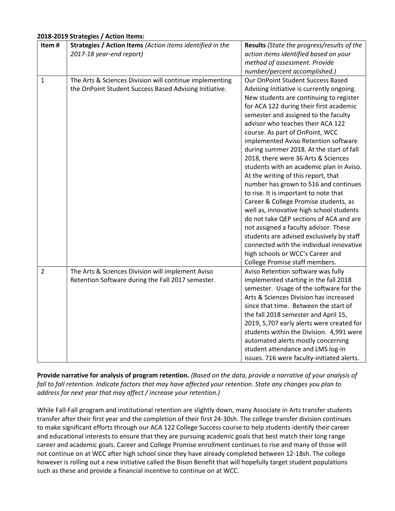## **2018-2019 Strategies / Action Items:**

| Item#          | Strategies / Action Items (Action items identified in the | Results (State the progress/results of the |  |  |
|----------------|-----------------------------------------------------------|--------------------------------------------|--|--|
|                | 2017-18 year-end report)                                  | action items identified based on your      |  |  |
|                |                                                           | method of assessment. Provide              |  |  |
|                |                                                           | number/percent accomplished.)              |  |  |
| $\mathbf{1}$   | The Arts & Sciences Division will continue implementing   | Our OnPoint Student Success Based          |  |  |
|                | the OnPoint Student Success Based Advising Initiative.    | Advising Initiative is currently ongoing.  |  |  |
|                |                                                           | New students are continuing to register    |  |  |
|                |                                                           | for ACA 122 during their first academic    |  |  |
|                |                                                           | semester and assigned to the faculty       |  |  |
|                |                                                           | advisor who teaches their ACA 122          |  |  |
|                |                                                           | course. As part of OnPoint, WCC            |  |  |
|                |                                                           | implemented Aviso Retention software       |  |  |
|                |                                                           | during summer 2018. At the start of fall   |  |  |
|                |                                                           | 2018, there were 36 Arts & Sciences        |  |  |
|                |                                                           | students with an academic plan in Aviso.   |  |  |
|                |                                                           | At the writing of this report, that        |  |  |
|                |                                                           | number has grown to 516 and continues      |  |  |
|                |                                                           | to rise. It is important to note that      |  |  |
|                |                                                           | Career & College Promise students, as      |  |  |
|                |                                                           | well as, innovative high school students   |  |  |
|                |                                                           | do not take QEP sections of ACA and are    |  |  |
|                |                                                           | not assigned a faculty advisor. These      |  |  |
|                |                                                           | students are advised exclusively by staff  |  |  |
|                |                                                           | connected with the individual innovative   |  |  |
|                |                                                           | high schools or WCC's Career and           |  |  |
|                |                                                           | College Promise staff members.             |  |  |
| $\overline{2}$ | The Arts & Sciences Division will implement Aviso         | Aviso Retention software was fully         |  |  |
|                | Retention Software during the Fall 2017 semester.         | implemented starting in the fall 2018      |  |  |
|                |                                                           | semester. Usage of the software for the    |  |  |
|                |                                                           | Arts & Sciences Division has increased     |  |  |
|                |                                                           | since that time. Between the start of      |  |  |
|                |                                                           | the fall 2018 semester and April 15,       |  |  |
|                |                                                           | 2019, 5,707 early alerts were created for  |  |  |
|                |                                                           | students within the Division. 4,991 were   |  |  |
|                |                                                           | automated alerts mostly concerning         |  |  |
|                |                                                           | student attendance and LMS log-in          |  |  |
|                |                                                           | issues. 716 were faculty-initiated alerts. |  |  |

**Provide narrative for analysis of program retention.** *(Based on the data, provide a narrative of your analysis of fall to fall retention. Indicate factors that may have affected your retention. State any changes you plan to address for next year that may affect / increase your retention.)* 

While Fall-Fall program and institutional retention are slightly down, many Associate in Arts transfer students transfer after their first year and the completion of their first 24-30sh. The college transfer division continues to make significant efforts through our ACA 122 College Success course to help students identify their career and educational interests to ensure that they are pursuing academic goals that best match their long range career and academic goals. Career and College Promise enrollment continues to rise and many of those will not continue on at WCC after high school since they have already completed between 12-18sh. The college however is rolling out a new initiative called the Bison Benefit that will hopefully target student populations such as these and provide a financial incentive to continue on at WCC.